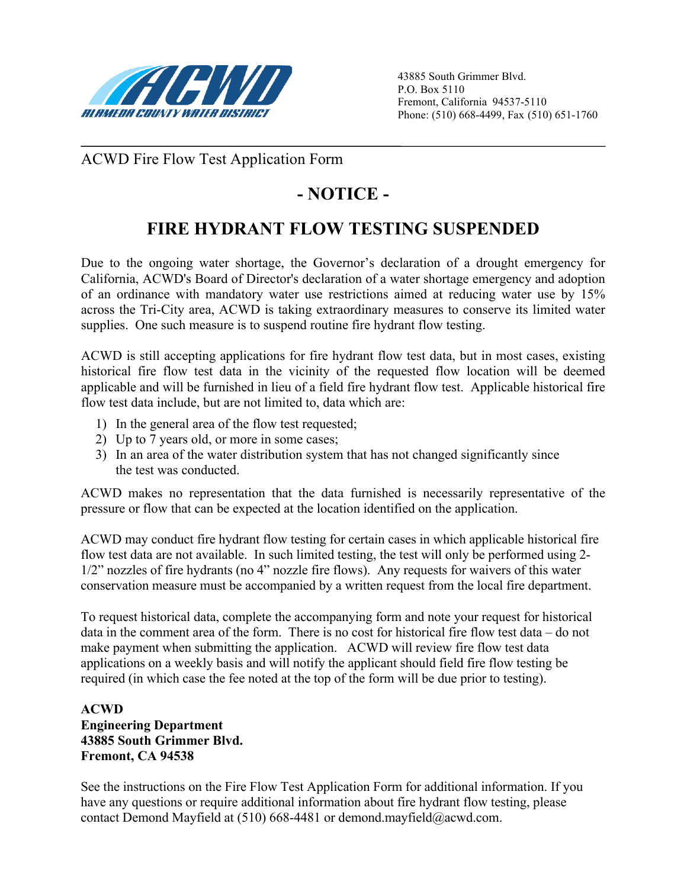

ACWD Fire Flow Test Application Form

## **- NOTICE -**

# **FIRE HYDRANT FLOW TESTING SUSPENDED**

Due to the ongoing water shortage, the Governor's declaration of a drought emergency for California, ACWD's Board of Director's declaration of a water shortage emergency and adoption of an ordinance with mandatory water use restrictions aimed at reducing water use by 15% across the Tri-City area, ACWD is taking extraordinary measures to conserve its limited water supplies. One such measure is to suspend routine fire hydrant flow testing.

ACWD is still accepting applications for fire hydrant flow test data, but in most cases, existing historical fire flow test data in the vicinity of the requested flow location will be deemed applicable and will be furnished in lieu of a field fire hydrant flow test. Applicable historical fire flow test data include, but are not limited to, data which are:

- 1) In the general area of the flow test requested;
- 2) Up to 7 years old, or more in some cases;
- 3) In an area of the water distribution system that has not changed significantly since the test was conducted.

ACWD makes no representation that the data furnished is necessarily representative of the pressure or flow that can be expected at the location identified on the application.

ACWD may conduct fire hydrant flow testing for certain cases in which applicable historical fire flow test data are not available. In such limited testing, the test will only be performed using 2- 1/2" nozzles of fire hydrants (no 4" nozzle fire flows). Any requests for waivers of this water conservation measure must be accompanied by a written request from the local fire department.

To request historical data, complete the accompanying form and note your request for historical data in the comment area of the form. There is no cost for historical fire flow test data – do not make payment when submitting the application. ACWD will review fire flow test data applications on a weekly basis and will notify the applicant should field fire flow testing be required (in which case the fee noted at the top of the form will be due prior to testing).

### **ACWD Engineering Department 43885 South Grimmer Blvd. Fremont, CA 94538**

See the instructions on the Fire Flow Test Application Form for additional information. If you have any questions or require additional information about fire hydrant flow testing, please contact Demond Mayfield at (510) 668-4481 or demond.mayfield@acwd.com.